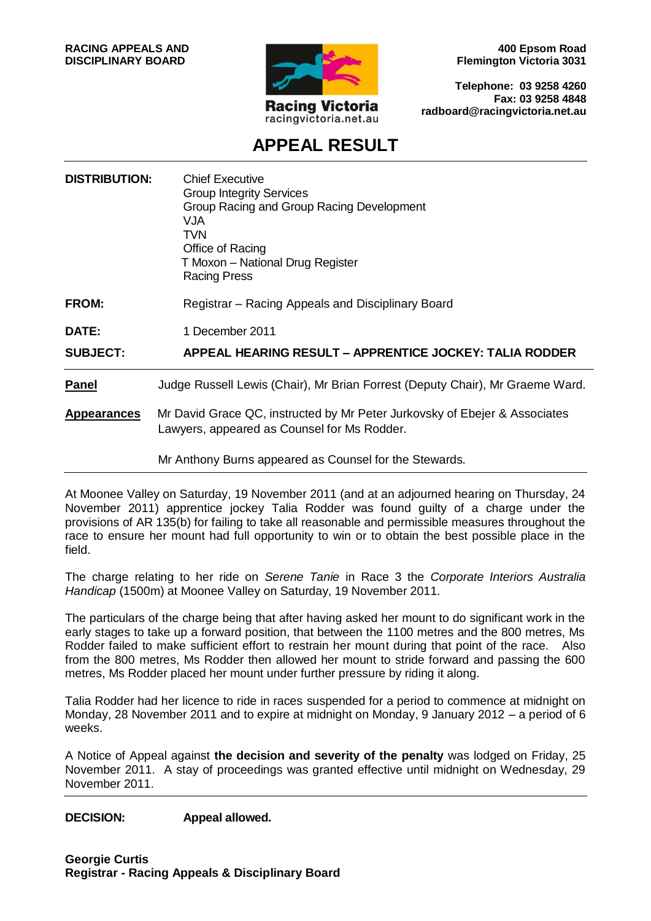

**400 Epsom Road Flemington Victoria 3031**

**Telephone: 03 9258 4260 Fax: 03 9258 4848 radboard@racingvictoria.net.au**

# **APPEAL RESULT**

| <b>DISTRIBUTION:</b> | <b>Chief Executive</b><br><b>Group Integrity Services</b><br>Group Racing and Group Racing Development<br>VJA<br>TVN.<br>Office of Racing<br>T Moxon - National Drug Register<br><b>Racing Press</b> |
|----------------------|------------------------------------------------------------------------------------------------------------------------------------------------------------------------------------------------------|
| <b>FROM:</b>         | Registrar – Racing Appeals and Disciplinary Board                                                                                                                                                    |
| DATE:                | 1 December 2011                                                                                                                                                                                      |
| <b>SUBJECT:</b>      | <b>APPEAL HEARING RESULT - APPRENTICE JOCKEY: TALIA RODDER</b>                                                                                                                                       |
| <b>Panel</b>         | Judge Russell Lewis (Chair), Mr Brian Forrest (Deputy Chair), Mr Graeme Ward.                                                                                                                        |
| <b>Appearances</b>   | Mr David Grace QC, instructed by Mr Peter Jurkovsky of Ebejer & Associates<br>Lawyers, appeared as Counsel for Ms Rodder.                                                                            |
|                      | Mr Anthony Burns appeared as Counsel for the Stewards.                                                                                                                                               |

At Moonee Valley on Saturday, 19 November 2011 (and at an adjourned hearing on Thursday, 24 November 2011) apprentice jockey Talia Rodder was found guilty of a charge under the provisions of AR 135(b) for failing to take all reasonable and permissible measures throughout the race to ensure her mount had full opportunity to win or to obtain the best possible place in the field.

The charge relating to her ride on *Serene Tanie* in Race 3 the *Corporate Interiors Australia Handicap* (1500m) at Moonee Valley on Saturday, 19 November 2011.

The particulars of the charge being that after having asked her mount to do significant work in the early stages to take up a forward position, that between the 1100 metres and the 800 metres, Ms Rodder failed to make sufficient effort to restrain her mount during that point of the race. Also from the 800 metres, Ms Rodder then allowed her mount to stride forward and passing the 600 metres, Ms Rodder placed her mount under further pressure by riding it along.

Talia Rodder had her licence to ride in races suspended for a period to commence at midnight on Monday, 28 November 2011 and to expire at midnight on Monday, 9 January 2012 – a period of 6 weeks.

A Notice of Appeal against **the decision and severity of the penalty** was lodged on Friday, 25 November 2011. A stay of proceedings was granted effective until midnight on Wednesday, 29 November 2011.

**DECISION: Appeal allowed.**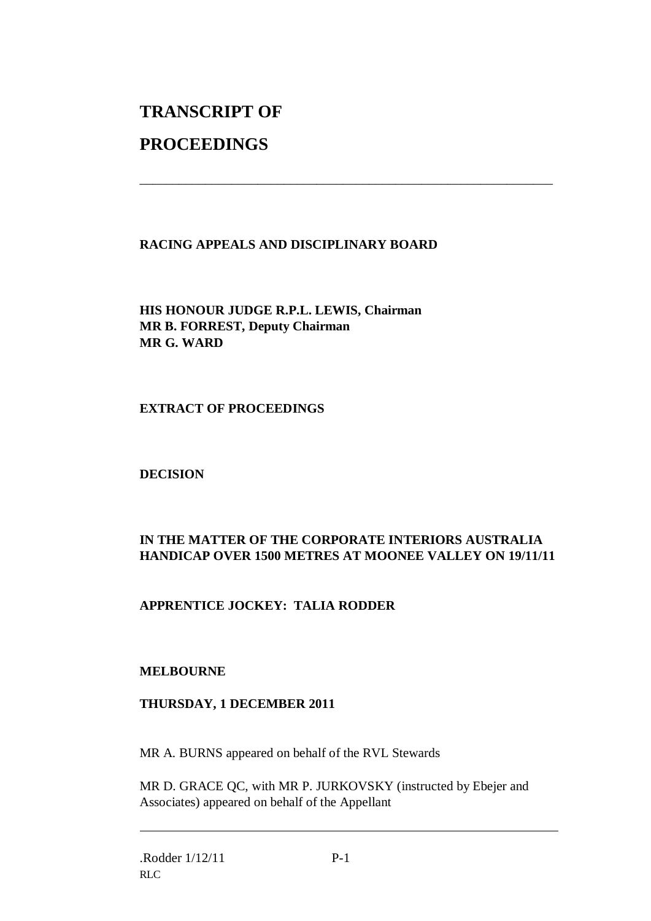# **TRANSCRIPT OF**

## **PROCEEDINGS**

#### **RACING APPEALS AND DISCIPLINARY BOARD**

\_\_\_\_\_\_\_\_\_\_\_\_\_\_\_\_\_\_\_\_\_\_\_\_\_\_\_\_\_\_\_\_\_\_\_\_\_\_\_\_\_\_\_\_\_\_\_\_\_\_\_\_\_\_\_\_\_\_\_\_\_\_\_

**HIS HONOUR JUDGE R.P.L. LEWIS, Chairman MR B. FORREST, Deputy Chairman MR G. WARD**

#### **EXTRACT OF PROCEEDINGS**

#### **DECISION**

### **IN THE MATTER OF THE CORPORATE INTERIORS AUSTRALIA HANDICAP OVER 1500 METRES AT MOONEE VALLEY ON 19/11/11**

### **APPRENTICE JOCKEY: TALIA RODDER**

#### **MELBOURNE**

#### **THURSDAY, 1 DECEMBER 2011**

MR A. BURNS appeared on behalf of the RVL Stewards

MR D. GRACE QC, with MR P. JURKOVSKY (instructed by Ebejer and Associates) appeared on behalf of the Appellant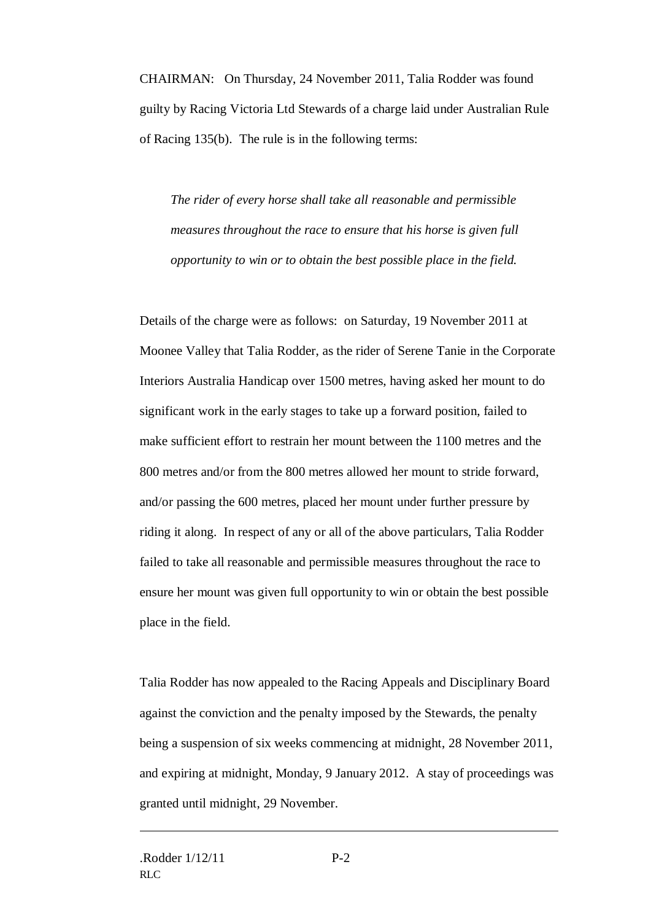CHAIRMAN: On Thursday, 24 November 2011, Talia Rodder was found guilty by Racing Victoria Ltd Stewards of a charge laid under Australian Rule of Racing 135(b). The rule is in the following terms:

*The rider of every horse shall take all reasonable and permissible measures throughout the race to ensure that his horse is given full opportunity to win or to obtain the best possible place in the field.*

Details of the charge were as follows: on Saturday, 19 November 2011 at Moonee Valley that Talia Rodder, as the rider of Serene Tanie in the Corporate Interiors Australia Handicap over 1500 metres, having asked her mount to do significant work in the early stages to take up a forward position, failed to make sufficient effort to restrain her mount between the 1100 metres and the 800 metres and/or from the 800 metres allowed her mount to stride forward, and/or passing the 600 metres, placed her mount under further pressure by riding it along. In respect of any or all of the above particulars, Talia Rodder failed to take all reasonable and permissible measures throughout the race to ensure her mount was given full opportunity to win or obtain the best possible place in the field.

Talia Rodder has now appealed to the Racing Appeals and Disciplinary Board against the conviction and the penalty imposed by the Stewards, the penalty being a suspension of six weeks commencing at midnight, 28 November 2011, and expiring at midnight, Monday, 9 January 2012. A stay of proceedings was granted until midnight, 29 November.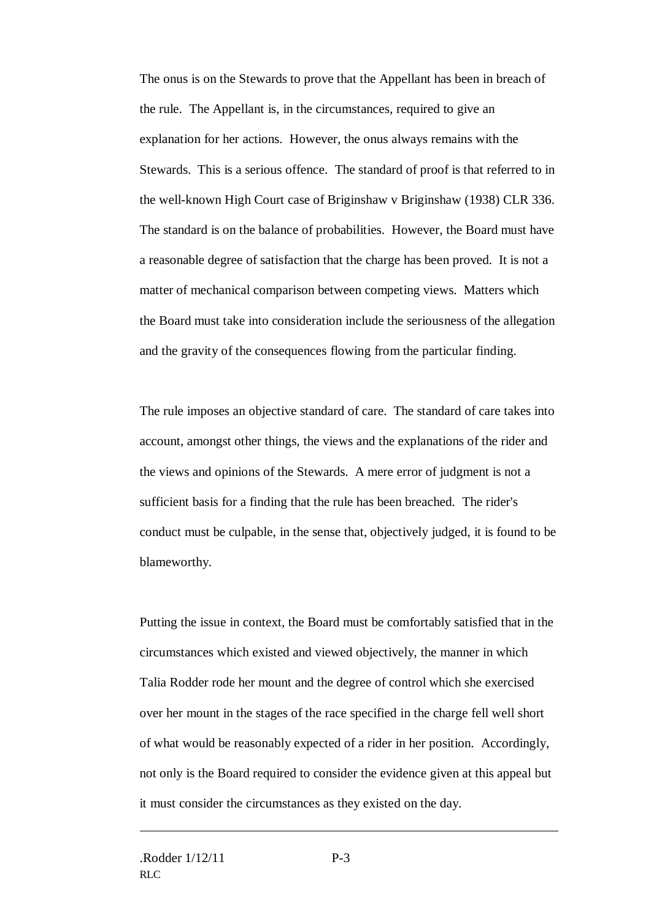The onus is on the Stewards to prove that the Appellant has been in breach of the rule. The Appellant is, in the circumstances, required to give an explanation for her actions. However, the onus always remains with the Stewards. This is a serious offence. The standard of proof is that referred to in the well-known High Court case of Briginshaw v Briginshaw (1938) CLR 336. The standard is on the balance of probabilities. However, the Board must have a reasonable degree of satisfaction that the charge has been proved. It is not a matter of mechanical comparison between competing views. Matters which the Board must take into consideration include the seriousness of the allegation and the gravity of the consequences flowing from the particular finding.

The rule imposes an objective standard of care. The standard of care takes into account, amongst other things, the views and the explanations of the rider and the views and opinions of the Stewards. A mere error of judgment is not a sufficient basis for a finding that the rule has been breached. The rider's conduct must be culpable, in the sense that, objectively judged, it is found to be blameworthy.

Putting the issue in context, the Board must be comfortably satisfied that in the circumstances which existed and viewed objectively, the manner in which Talia Rodder rode her mount and the degree of control which she exercised over her mount in the stages of the race specified in the charge fell well short of what would be reasonably expected of a rider in her position. Accordingly, not only is the Board required to consider the evidence given at this appeal but it must consider the circumstances as they existed on the day.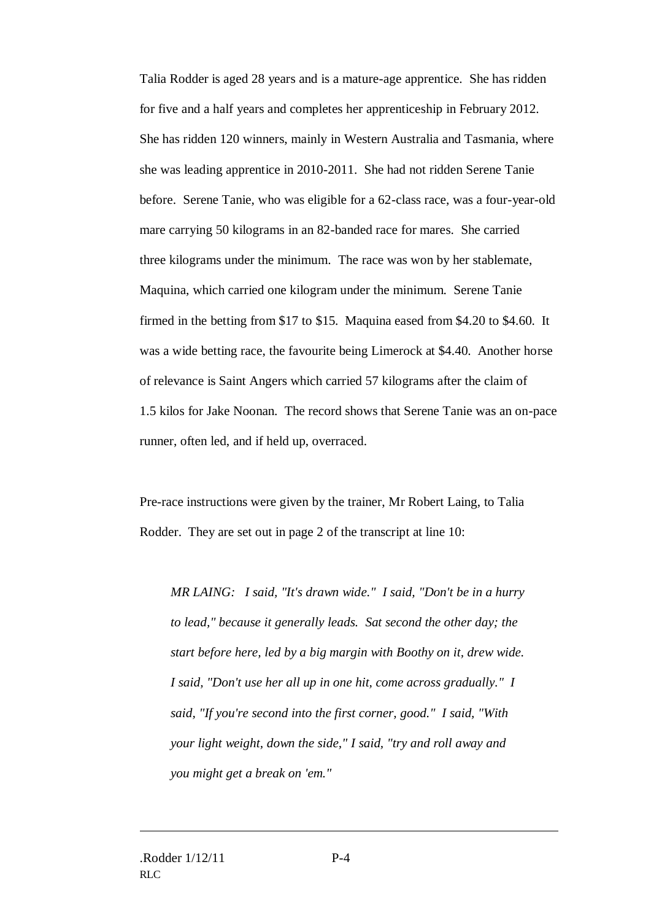Talia Rodder is aged 28 years and is a mature-age apprentice. She has ridden for five and a half years and completes her apprenticeship in February 2012. She has ridden 120 winners, mainly in Western Australia and Tasmania, where she was leading apprentice in 2010-2011. She had not ridden Serene Tanie before. Serene Tanie, who was eligible for a 62-class race, was a four-year-old mare carrying 50 kilograms in an 82-banded race for mares. She carried three kilograms under the minimum. The race was won by her stablemate, Maquina, which carried one kilogram under the minimum. Serene Tanie firmed in the betting from \$17 to \$15. Maquina eased from \$4.20 to \$4.60. It was a wide betting race, the favourite being Limerock at \$4.40. Another horse of relevance is Saint Angers which carried 57 kilograms after the claim of 1.5 kilos for Jake Noonan. The record shows that Serene Tanie was an on-pace runner, often led, and if held up, overraced.

Pre-race instructions were given by the trainer, Mr Robert Laing, to Talia Rodder. They are set out in page 2 of the transcript at line 10:

*MR LAING: I said, "It's drawn wide." I said, "Don't be in a hurry to lead," because it generally leads. Sat second the other day; the start before here, led by a big margin with Boothy on it, drew wide. I said, "Don't use her all up in one hit, come across gradually." I said, "If you're second into the first corner, good." I said, "With your light weight, down the side," I said, "try and roll away and you might get a break on 'em."*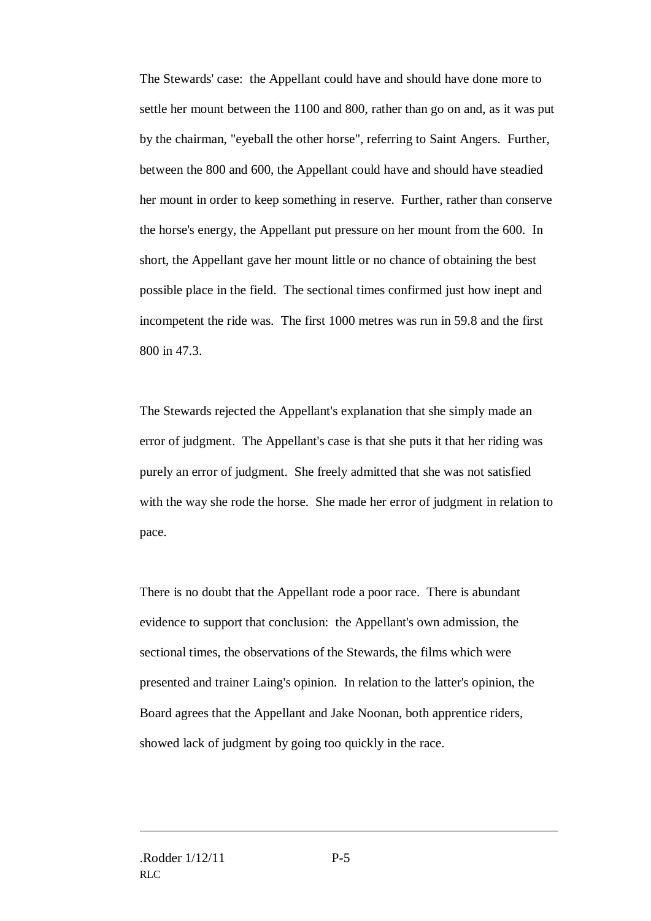The Stewards' case: the Appellant could have and should have done more to settle her mount between the 1100 and 800, rather than go on and, as it was put by the chairman, "eyeball the other horse", referring to Saint Angers. Further, between the 800 and 600, the Appellant could have and should have steadied her mount in order to keep something in reserve. Further, rather than conserve the horse's energy, the Appellant put pressure on her mount from the 600. In short, the Appellant gave her mount little or no chance of obtaining the best possible place in the field. The sectional times confirmed just how inept and incompetent the ride was. The first 1000 metres was run in 59.8 and the first 800 in 47.3.

The Stewards rejected the Appellant's explanation that she simply made an error of judgment. The Appellant's case is that she puts it that her riding was purely an error of judgment. She freely admitted that she was not satisfied with the way she rode the horse. She made her error of judgment in relation to pace.

There is no doubt that the Appellant rode a poor race. There is abundant evidence to support that conclusion: the Appellant's own admission, the sectional times, the observations of the Stewards, the films which were presented and trainer Laing's opinion. In relation to the latter's opinion, the Board agrees that the Appellant and Jake Noonan, both apprentice riders, showed lack of judgment by going too quickly in the race.